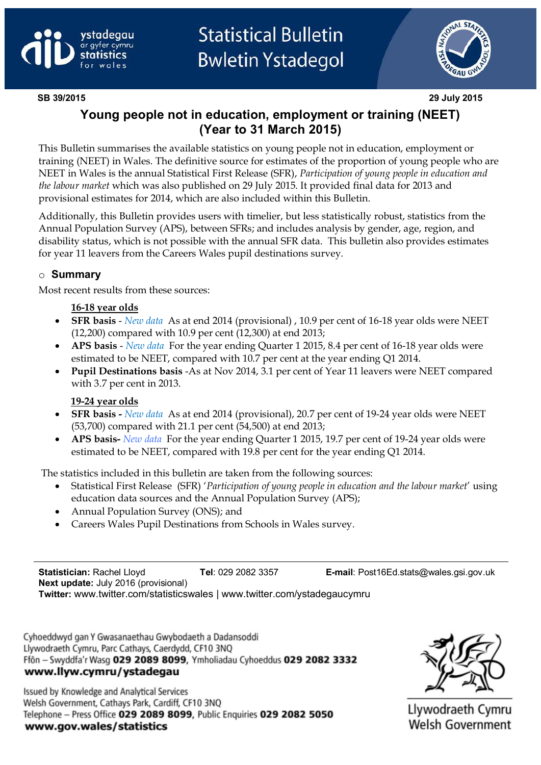



**SB 39/2015 29 July 2015**

# **Young people not in education, employment or training (NEET) (Year to 31 March 2015)**

This Bulletin summarises the available statistics on young people not in education, employment or training (NEET) in Wales. The definitive source for estimates of the proportion of young people who are NEET in Wales is the annual Statistical First Release (SFR), *Participation of young people in education and the labour market* which was also published on 29 July 2015. It provided final data for 2013 and provisional estimates for 2014, which are also included within this Bulletin.

Additionally, this Bulletin provides users with timelier, but less statistically robust, statistics from the Annual Population Survey (APS), between SFRs; and includes analysis by gender, age, region, and disability status, which is not possible with the annual SFR data. This bulletin also provides estimates for year 11 leavers from the Careers Wales pupil destinations survey.

#### o **Summary**

Most recent results from these sources:

#### **16-18 year olds**

- **SFR basis** *New data* As at end 2014 (provisional) , 10.9 per cent of 16-18 year olds were NEET (12,200) compared with 10.9 per cent (12,300) at end 2013;
- **APS basis** *New data* For the year ending Quarter 1 2015, 8.4 per cent of 16-18 year olds were estimated to be NEET, compared with 10.7 per cent at the year ending Q1 2014.
- **Pupil Destinations basis** -As at Nov 2014, 3.1 per cent of Year 11 leavers were NEET compared with 3.7 per cent in 2013.

#### **19-24 year olds**

- **SFR basis -** *New data* As at end 2014 (provisional), 20.7 per cent of 19-24 year olds were NEET (53,700) compared with 21.1 per cent (54,500) at end 2013;
- **APS basis-** *New data* For the year ending Quarter 1 2015, 19.7 per cent of 19-24 year olds were estimated to be NEET, compared with 19.8 per cent for the year ending Q1 2014.

The statistics included in this bulletin are taken from the following sources:

- Statistical First Release (SFR) '*Participation of young people in education and the labour market*' using education data sources and the Annual Population Survey (APS);
- Annual Population Survey (ONS); and
- Careers Wales Pupil Destinations from Schools in Wales survey.

**Statistician:** Rachel Lloyd **Tel**: 029 2082 3357 **E-mail**: Post16Ed.stats@wales.gsi.gov.uk **Next update:** July 2016 (provisional)

**Twitter:** www.twitter.com/statisticswales | www.twitter.com/ystadegaucymru

Cyhoeddwyd gan Y Gwasanaethau Gwybodaeth a Dadansoddi Llywodraeth Cymru, Parc Cathays, Caerdydd, CF10 3NQ Ffôn - Swyddfa'r Wasg 029 2089 8099, Ymholiadau Cyhoeddus 029 2082 3332 www.llyw.cymru/ystadegau

Issued by Knowledge and Analytical Services Welsh Government, Cathays Park, Cardiff, CF10 3NQ Telephone - Press Office 029 2089 8099, Public Enquiries 029 2082 5050 www.gov.wales/statistics



Llywodraeth Cymru Welsh Government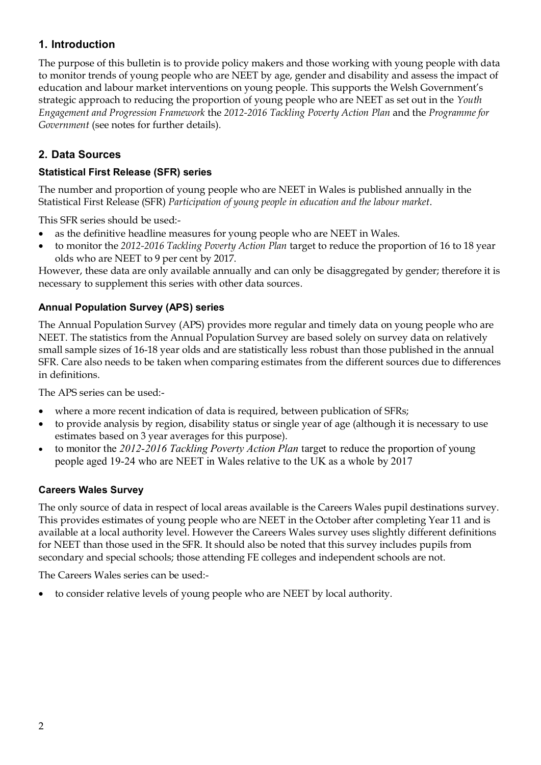# **1. Introduction**

The purpose of this bulletin is to provide policy makers and those working with young people with data to monitor trends of young people who are NEET by age, gender and disability and assess the impact of education and labour market interventions on young people. This supports the Welsh Government's strategic approach to reducing the proportion of young people who are NEET as set out in the *Youth Engagement and Progression Framework* the *2012-2016 Tackling Poverty Action Plan* and the *Programme for Government* (see notes for further details)*.*

# **2. Data Sources**

#### **Statistical First Release (SFR) series**

The number and proportion of young people who are NEET in Wales is published annually in the Statistical First Release (SFR) *Participation of young people in education and the labour market*.

This SFR series should be used:-

- as the definitive headline measures for young people who are NEET in Wales.
- to monitor the *2012-2016 Tackling Poverty Action Plan* target to reduce the proportion of 16 to 18 year olds who are NEET to 9 per cent by 2017.

However, these data are only available annually and can only be disaggregated by gender; therefore it is necessary to supplement this series with other data sources.

#### **Annual Population Survey (APS) series**

The Annual Population Survey (APS) provides more regular and timely data on young people who are NEET. The statistics from the Annual Population Survey are based solely on survey data on relatively small sample sizes of 16-18 year olds and are statistically less robust than those published in the annual SFR. Care also needs to be taken when comparing estimates from the different sources due to differences in definitions.

The APS series can be used:-

- where a more recent indication of data is required, between publication of SFRs;
- to provide analysis by region, disability status or single year of age (although it is necessary to use estimates based on 3 year averages for this purpose).
- to monitor the *2012-2016 Tackling Poverty Action Plan* target to reduce the proportion of young people aged 19-24 who are NEET in Wales relative to the UK as a whole by 2017

#### **Careers Wales Survey**

The only source of data in respect of local areas available is the Careers Wales pupil destinations survey. This provides estimates of young people who are NEET in the October after completing Year 11 and is available at a local authority level. However the Careers Wales survey uses slightly different definitions for NEET than those used in the SFR. It should also be noted that this survey includes pupils from secondary and special schools; those attending FE colleges and independent schools are not.

The Careers Wales series can be used:-

to consider relative levels of young people who are NEET by local authority.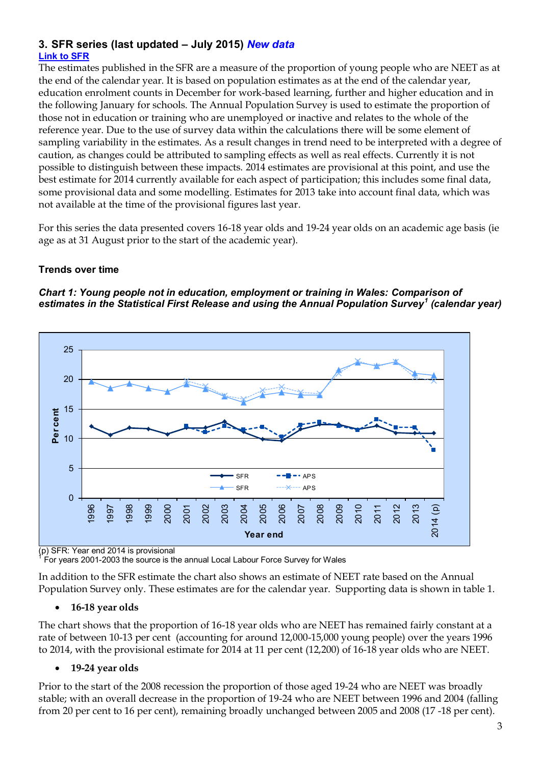#### **3. SFR series (last updated – July 2015)** *New data* **[Link to SFR](http://gov.wales/statistics-and-research/participation-young-people-education-labour-market/?lang=en)**

The estimates published in the SFR are a measure of the proportion of young people who are NEET as at the end of the calendar year. It is based on population estimates as at the end of the calendar year, education enrolment counts in December for work-based learning, further and higher education and in the following January for schools. The Annual Population Survey is used to estimate the proportion of those not in education or training who are unemployed or inactive and relates to the whole of the reference year. Due to the use of survey data within the calculations there will be some element of sampling variability in the estimates. As a result changes in trend need to be interpreted with a degree of caution, as changes could be attributed to sampling effects as well as real effects. Currently it is not possible to distinguish between these impacts. 2014 estimates are provisional at this point, and use the best estimate for 2014 currently available for each aspect of participation; this includes some final data, some provisional data and some modelling. Estimates for 2013 take into account final data, which was not available at the time of the provisional figures last year.

For this series the data presented covers 16-18 year olds and 19-24 year olds on an academic age basis (ie age as at 31 August prior to the start of the academic year).

#### **Trends over time**





(p) SFR: Year end 2014 is provisional 1

For years 2001-2003 the source is the annual Local Labour Force Survey for Wales

In addition to the SFR estimate the chart also shows an estimate of NEET rate based on the Annual Population Survey only. These estimates are for the calendar year. Supporting data is shown in table 1.

#### **16-18 year olds**

The chart shows that the proportion of 16-18 year olds who are NEET has remained fairly constant at a rate of between 10-13 per cent (accounting for around 12,000-15,000 young people) over the years 1996 to 2014, with the provisional estimate for 2014 at 11 per cent (12,200) of 16-18 year olds who are NEET.

#### **19-24 year olds**

Prior to the start of the 2008 recession the proportion of those aged 19-24 who are NEET was broadly stable; with an overall decrease in the proportion of 19-24 who are NEET between 1996 and 2004 (falling from 20 per cent to 16 per cent), remaining broadly unchanged between 2005 and 2008 (17 -18 per cent).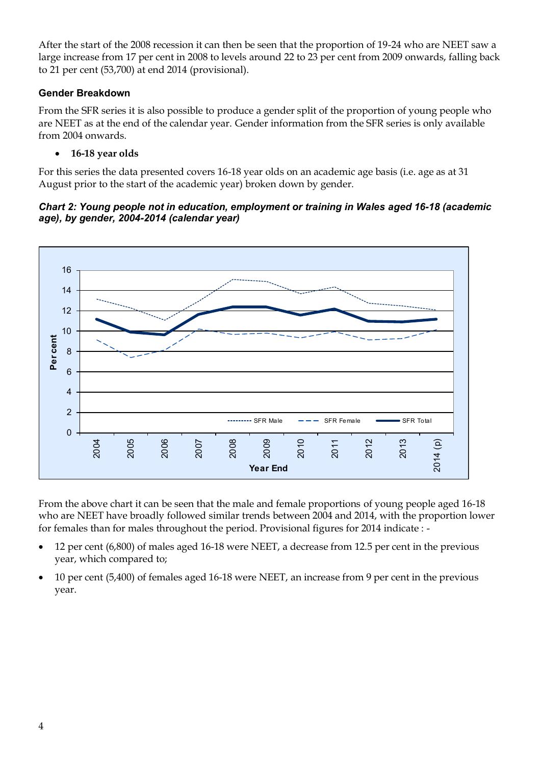After the start of the 2008 recession it can then be seen that the proportion of 19-24 who are NEET saw a large increase from 17 per cent in 2008 to levels around 22 to 23 per cent from 2009 onwards, falling back to 21 per cent (53,700) at end 2014 (provisional).

#### **Gender Breakdown**

From the SFR series it is also possible to produce a gender split of the proportion of young people who are NEET as at the end of the calendar year. Gender information from the SFR series is only available from 2004 onwards.

#### **16-18 year olds**

For this series the data presented covers 16-18 year olds on an academic age basis (i.e. age as at 31 August prior to the start of the academic year) broken down by gender.

*Chart 2: Young people not in education, employment or training in Wales aged 16-18 (academic age), by gender, 2004-2014 (calendar year)*



From the above chart it can be seen that the male and female proportions of young people aged 16-18 who are NEET have broadly followed similar trends between 2004 and 2014, with the proportion lower for females than for males throughout the period. Provisional figures for 2014 indicate : -

- 12 per cent (6,800) of males aged 16-18 were NEET, a decrease from 12.5 per cent in the previous year, which compared to;
- 10 per cent (5,400) of females aged 16-18 were NEET, an increase from 9 per cent in the previous year.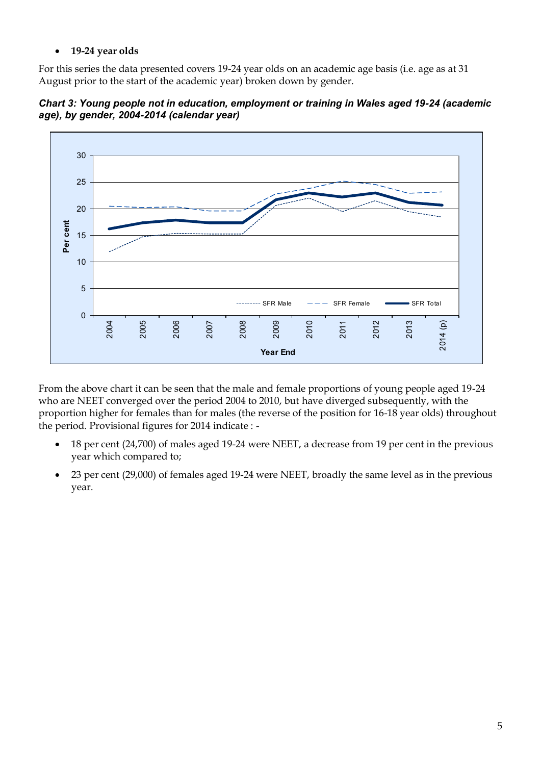#### **19-24 year olds**

For this series the data presented covers 19-24 year olds on an academic age basis (i.e. age as at 31 August prior to the start of the academic year) broken down by gender.

*Chart 3: Young people not in education, employment or training in Wales aged 19-24 (academic age), by gender, 2004-2014 (calendar year)*



From the above chart it can be seen that the male and female proportions of young people aged 19-24 who are NEET converged over the period 2004 to 2010, but have diverged subsequently, with the proportion higher for females than for males (the reverse of the position for 16-18 year olds) throughout the period. Provisional figures for 2014 indicate : -

- 18 per cent (24,700) of males aged 19-24 were NEET, a decrease from 19 per cent in the previous year which compared to;
- 23 per cent (29,000) of females aged 19-24 were NEET, broadly the same level as in the previous year.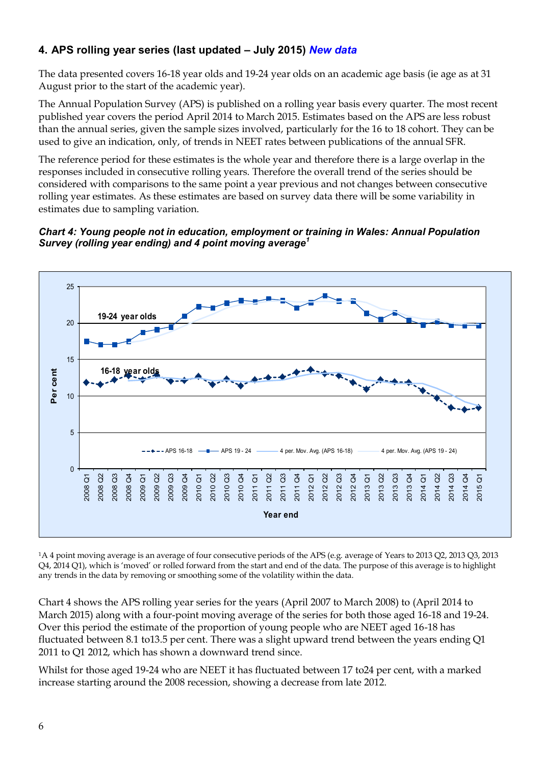# **4. APS rolling year series (last updated – July 2015)** *New data*

The data presented covers 16-18 year olds and 19-24 year olds on an academic age basis (ie age as at 31 August prior to the start of the academic year).

The Annual Population Survey (APS) is published on a rolling year basis every quarter. The most recent published year covers the period April 2014 to March 2015. Estimates based on the APS are less robust than the annual series, given the sample sizes involved, particularly for the 16 to 18 cohort. They can be used to give an indication, only, of trends in NEET rates between publications of the annual SFR.

The reference period for these estimates is the whole year and therefore there is a large overlap in the responses included in consecutive rolling years. Therefore the overall trend of the series should be considered with comparisons to the same point a year previous and not changes between consecutive rolling year estimates. As these estimates are based on survey data there will be some variability in estimates due to sampling variation.

#### *Chart 4: Young people not in education, employment or training in Wales: Annual Population Survey (rolling year ending) and 4 point moving average<sup>1</sup>*



<sup>1</sup>A 4 point moving average is an average of four consecutive periods of the APS (e.g. average of Years to 2013 Q2, 2013 Q3, 2013 Q4, 2014 Q1), which is 'moved' or rolled forward from the start and end of the data. The purpose of this average is to highlight any trends in the data by removing or smoothing some of the volatility within the data.

Chart 4 shows the APS rolling year series for the years (April 2007 to March 2008) to (April 2014 to March 2015) along with a four-point moving average of the series for both those aged 16-18 and 19-24. Over this period the estimate of the proportion of young people who are NEET aged 16-18 has fluctuated between 8.1 to13.5 per cent. There was a slight upward trend between the years ending Q1 2011 to Q1 2012, which has shown a downward trend since.

Whilst for those aged 19-24 who are NEET it has fluctuated between 17 to24 per cent, with a marked increase starting around the 2008 recession, showing a decrease from late 2012.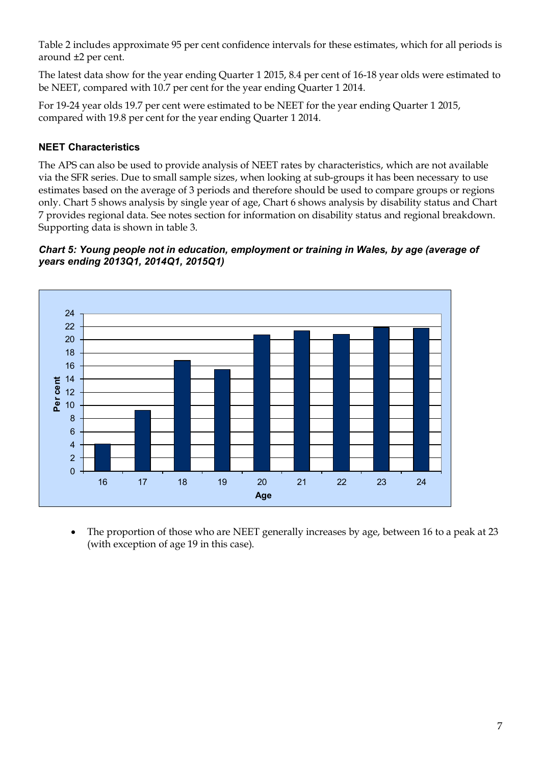Table 2 includes approximate 95 per cent confidence intervals for these estimates, which for all periods is around ±2 per cent.

The latest data show for the year ending Quarter 1 2015, 8.4 per cent of 16-18 year olds were estimated to be NEET, compared with 10.7 per cent for the year ending Quarter 1 2014.

For 19-24 year olds 19.7 per cent were estimated to be NEET for the year ending Quarter 1 2015, compared with 19.8 per cent for the year ending Quarter 1 2014.

### **NEET Characteristics**

The APS can also be used to provide analysis of NEET rates by characteristics, which are not available via the SFR series. Due to small sample sizes, when looking at sub-groups it has been necessary to use estimates based on the average of 3 periods and therefore should be used to compare groups or regions only. Chart 5 shows analysis by single year of age, Chart 6 shows analysis by disability status and Chart 7 provides regional data. See notes section for information on disability status and regional breakdown. Supporting data is shown in table 3.

#### *Chart 5: Young people not in education, employment or training in Wales, by age (average of years ending 2013Q1, 2014Q1, 2015Q1)*



 The proportion of those who are NEET generally increases by age, between 16 to a peak at 23 (with exception of age 19 in this case).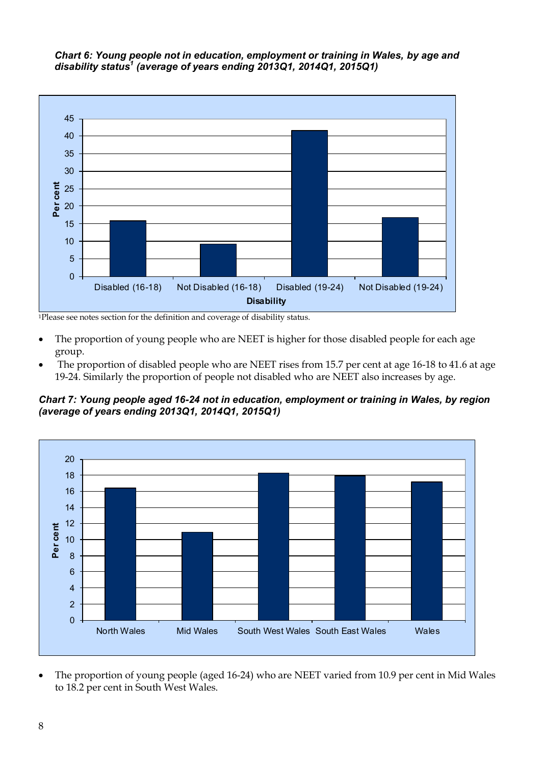*Chart 6: Young people not in education, employment or training in Wales, by age and disability status<sup>1</sup> (average of years ending 2013Q1, 2014Q1, 2015Q1)*



<sup>1</sup>Please see notes section for the definition and coverage of disability status.

- The proportion of young people who are NEET is higher for those disabled people for each age group.
- The proportion of disabled people who are NEET rises from 15.7 per cent at age 16-18 to 41.6 at age 19-24. Similarly the proportion of people not disabled who are NEET also increases by age.

*Chart 7: Young people aged 16-24 not in education, employment or training in Wales, by region (average of years ending 2013Q1, 2014Q1, 2015Q1)* 



 The proportion of young people (aged 16-24) who are NEET varied from 10.9 per cent in Mid Wales to 18.2 per cent in South West Wales.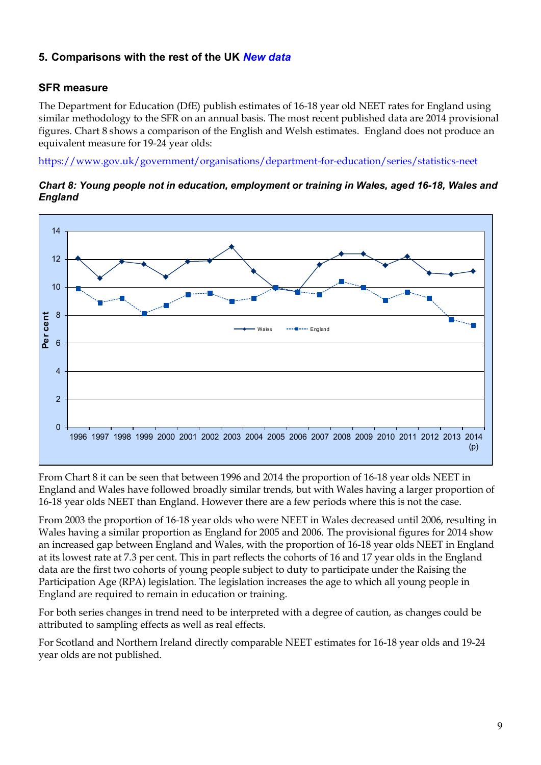# **5. Comparisons with the rest of the UK** *New data*

#### **SFR measure**

The Department for Education (DfE) publish estimates of 16-18 year old NEET rates for England using similar methodology to the SFR on an annual basis. The most recent published data are 2014 provisional figures. Chart 8 shows a comparison of the English and Welsh estimates. England does not produce an equivalent measure for 19-24 year olds:

<https://www.gov.uk/government/organisations/department-for-education/series/statistics-neet>





From Chart 8 it can be seen that between 1996 and 2014 the proportion of 16-18 year olds NEET in England and Wales have followed broadly similar trends, but with Wales having a larger proportion of 16-18 year olds NEET than England. However there are a few periods where this is not the case.

From 2003 the proportion of 16-18 year olds who were NEET in Wales decreased until 2006, resulting in Wales having a similar proportion as England for 2005 and 2006. The provisional figures for 2014 show an increased gap between England and Wales, with the proportion of 16-18 year olds NEET in England at its lowest rate at 7.3 per cent. This in part reflects the cohorts of 16 and 17 year olds in the England data are the first two cohorts of young people subject to duty to participate under the Raising the Participation Age (RPA) legislation. The legislation increases the age to which all young people in England are required to remain in education or training.

For both series changes in trend need to be interpreted with a degree of caution, as changes could be attributed to sampling effects as well as real effects.

For Scotland and Northern Ireland directly comparable NEET estimates for 16-18 year olds and 19-24 year olds are not published.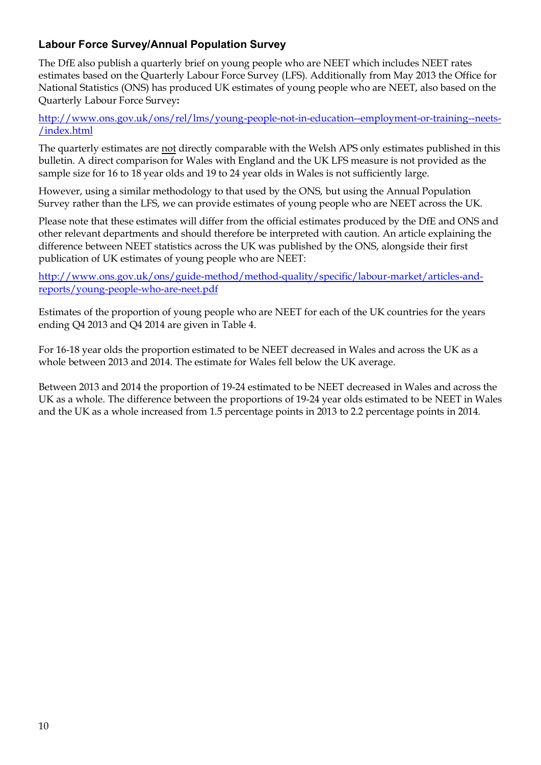# **Labour Force Survey/Annual Population Survey**

The DfE also publish a quarterly brief on young people who are NEET which includes NEET rates estimates based on the Quarterly Labour Force Survey (LFS). Additionally from May 2013 the Office for National Statistics (ONS) has produced UK estimates of young people who are NEET, also based on the Quarterly Labour Force Survey**:**

[http://www.ons.gov.uk/ons/rel/lms/young-people-not-in-education--employment-or-training--neets-](http://www.ons.gov.uk/ons/rel/lms/young-people-not-in-education--employment-or-training--neets-/index.html) [/index.html](http://www.ons.gov.uk/ons/rel/lms/young-people-not-in-education--employment-or-training--neets-/index.html)

The quarterly estimates are not directly comparable with the Welsh APS only estimates published in this bulletin. A direct comparison for Wales with England and the UK LFS measure is not provided as the sample size for 16 to 18 year olds and 19 to 24 year olds in Wales is not sufficiently large.

However, using a similar methodology to that used by the ONS, but using the Annual Population Survey rather than the LFS, we can provide estimates of young people who are NEET across the UK.

Please note that these estimates will differ from the official estimates produced by the DfE and ONS and other relevant departments and should therefore be interpreted with caution. An article explaining the difference between NEET statistics across the UK was published by the ONS, alongside their first publication of UK estimates of young people who are NEET:

[http://www.ons.gov.uk/ons/guide-method/method-quality/specific/labour-market/articles-and](http://www.ons.gov.uk/ons/guide-method/method-quality/specific/labour-market/articles-and-reports/young-people-who-are-neet.pdf)[reports/young-people-who-are-neet.pdf](http://www.ons.gov.uk/ons/guide-method/method-quality/specific/labour-market/articles-and-reports/young-people-who-are-neet.pdf)

Estimates of the proportion of young people who are NEET for each of the UK countries for the years ending Q4 2013 and Q4 2014 are given in Table 4.

For 16-18 year olds the proportion estimated to be NEET decreased in Wales and across the UK as a whole between 2013 and 2014. The estimate for Wales fell below the UK average.

Between 2013 and 2014 the proportion of 19-24 estimated to be NEET decreased in Wales and across the UK as a whole. The difference between the proportions of 19-24 year olds estimated to be NEET in Wales and the UK as a whole increased from 1.5 percentage points in 2013 to 2.2 percentage points in 2014.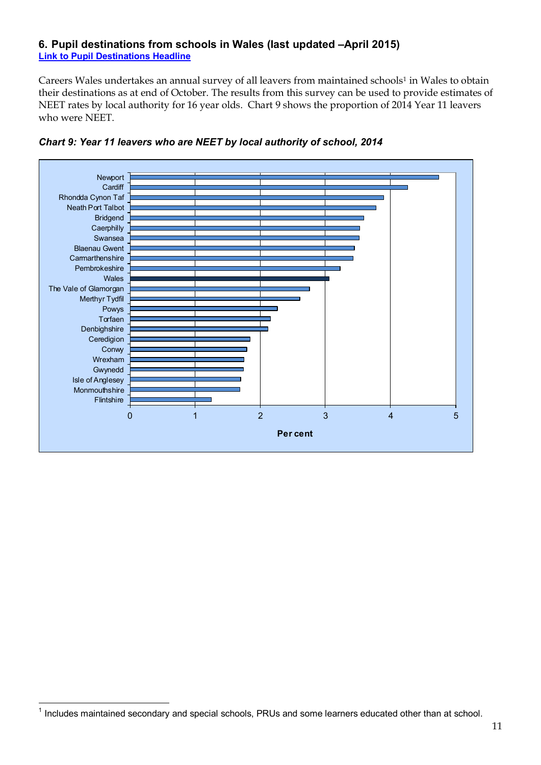#### **6. Pupil destinations from schools in Wales (last updated –April 2015) [Link to Pupil Destinations Headline](http://gov.wales/statistics-and-research/pupil-destinations-schools-wales/?lang=en)**

Careers Wales undertakes an annual survey of all leavers from maintained schools<sup>1</sup> in Wales to obtain their destinations as at end of October. The results from this survey can be used to provide estimates of NEET rates by local authority for 16 year olds. Chart 9 shows the proportion of 2014 Year 11 leavers who were NEET.





 $\overline{a}$ 

 $<sup>1</sup>$  Includes maintained secondary and special schools, PRUs and some learners educated other than at school.</sup>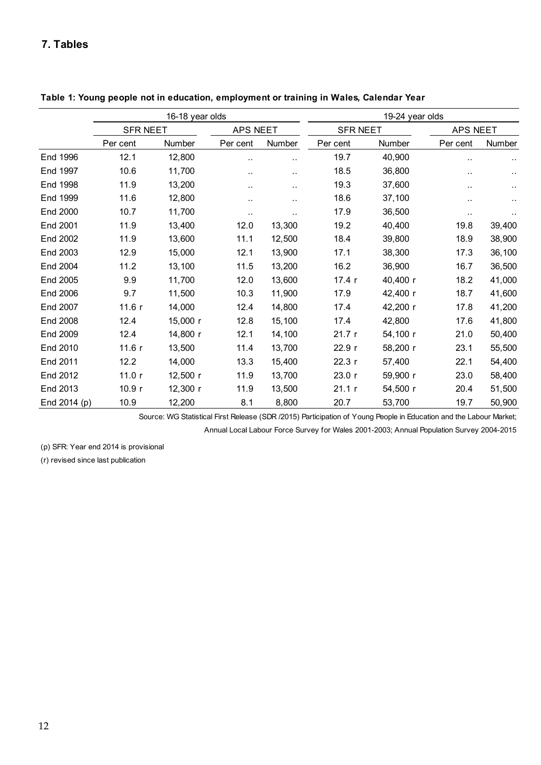#### **7. Tables**

|              |                 | 16-18 year olds |                      |        | 19-24 year olds |          |                 |           |
|--------------|-----------------|-----------------|----------------------|--------|-----------------|----------|-----------------|-----------|
|              | <b>SFR NEET</b> |                 | APS NEET             |        | <b>SFR NEET</b> |          | <b>APS NEET</b> |           |
|              | Per cent        | Number          | Per cent             | Number | Per cent        | Number   | Per cent        | Number    |
| End 1996     | 12.1            | 12,800          | $\ddot{\phantom{a}}$ | ٠.     | 19.7            | 40,900   | $\ddotsc$       | $\ddotsc$ |
| End 1997     | 10.6            | 11,700          | . .                  | ٠.     | 18.5            | 36,800   | ٠.              |           |
| End 1998     | 11.9            | 13,200          |                      | . .    | 19.3            | 37,600   | . .             |           |
| End 1999     | 11.6            | 12,800          |                      | . .    | 18.6            | 37,100   | ٠.              |           |
| End 2000     | 10.7            | 11,700          | $\ddot{\phantom{a}}$ | ٠.     | 17.9            | 36,500   | $\cdot$ .       | $\sim$    |
| End 2001     | 11.9            | 13,400          | 12.0                 | 13,300 | 19.2            | 40,400   | 19.8            | 39,400    |
| End 2002     | 11.9            | 13,600          | 11.1                 | 12,500 | 18.4            | 39,800   | 18.9            | 38,900    |
| End 2003     | 12.9            | 15,000          | 12.1                 | 13,900 | 17.1            | 38,300   | 17.3            | 36,100    |
| End 2004     | 11.2            | 13,100          | 11.5                 | 13,200 | 16.2            | 36,900   | 16.7            | 36,500    |
| End 2005     | 9.9             | 11,700          | 12.0                 | 13,600 | 17.4 r          | 40,400 r | 18.2            | 41,000    |
| End 2006     | 9.7             | 11,500          | 10.3                 | 11,900 | 17.9            | 42,400 r | 18.7            | 41,600    |
| End 2007     | 11.6r           | 14,000          | 12.4                 | 14,800 | 17.4            | 42,200 r | 17.8            | 41,200    |
| End 2008     | 12.4            | 15,000 r        | 12.8                 | 15,100 | 17.4            | 42,800   | 17.6            | 41,800    |
| End 2009     | 12.4            | 14,800 r        | 12.1                 | 14,100 | 21.7r           | 54,100 r | 21.0            | 50,400    |
| End 2010     | 11.6r           | 13,500          | 11.4                 | 13,700 | 22.9 r          | 58,200 r | 23.1            | 55,500    |
| End 2011     | 12.2            | 14,000          | 13.3                 | 15,400 | 22.3r           | 57,400   | 22.1            | 54,400    |
| End 2012     | 11.0r           | 12,500 r        | 11.9                 | 13,700 | 23.0r           | 59,900 r | 23.0            | 58,400    |
| End 2013     | 10.9r           | 12,300 r        | 11.9                 | 13,500 | 21.1 r          | 54,500 r | 20.4            | 51,500    |
| End 2014 (p) | 10.9            | 12,200          | 8.1                  | 8,800  | 20.7            | 53,700   | 19.7            | 50,900    |

**Table 1: Young people not in education, employment or training in Wales, Calendar Year** 

Source: WG Statistical First Release (SDR /2015) Participation of Young People in Education and the Labour Market;

Annual Local Labour Force Survey for Wales 2001-2003; Annual Population Survey 2004-2015

(p) SFR: Year end 2014 is provisional

(r) revised since last publication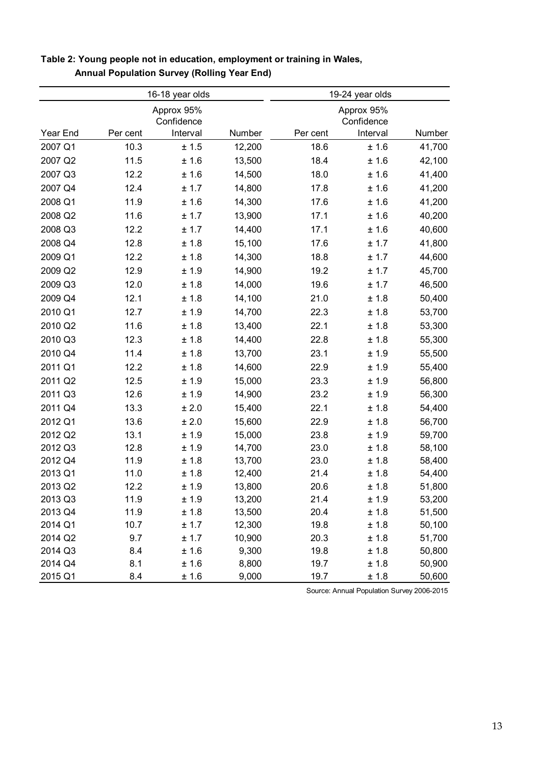| Number<br>41,700<br>42,100<br>41,400 |
|--------------------------------------|
|                                      |
|                                      |
|                                      |
|                                      |
|                                      |
| 41,200                               |
| 41,200                               |
| 40,200                               |
| 40,600                               |
| 41,800                               |
| 44,600                               |
| 45,700                               |
| 46,500                               |
| 50,400                               |
| 53,700                               |
| 53,300                               |
| 55,300                               |
| 55,500                               |
| 55,400                               |
| 56,800                               |
| 56,300                               |
| 54,400                               |
| 56,700                               |
| 59,700                               |
| 58,100                               |
| 58,400                               |
| 54,400                               |
| 51,800                               |
| 53,200                               |
| 51,500                               |
| 50,100                               |
| 51,700                               |
| 50,800                               |
| 50,900                               |
|                                      |

#### **Table 2: Young people not in education, employment or training in Wales, Annual Population Survey (Rolling Year End)**

Source: Annual Population Survey 2006-2015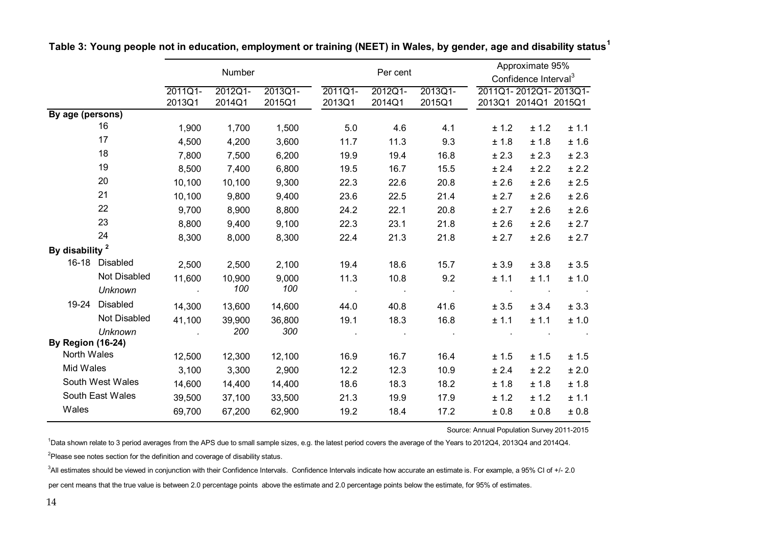|                            |                                | Number                          |                   |                   | Per cent           |                   |                   | Approximate 95%<br>Confidence Interval <sup>3</sup> |       |                       |
|----------------------------|--------------------------------|---------------------------------|-------------------|-------------------|--------------------|-------------------|-------------------|-----------------------------------------------------|-------|-----------------------|
|                            |                                | 2011Q1-<br>2013Q1               | 2012Q1-<br>2014Q1 | 2013Q1-<br>2015Q1 | 2011Q1-<br>2013Q1  | 2012Q1-<br>2014Q1 | 2013Q1-<br>2015Q1 | 2013Q1 2014Q1 2015Q1                                |       | 2011Q1-2012Q1-2013Q1- |
| By age (persons)           |                                |                                 |                   |                   |                    |                   |                   |                                                     |       |                       |
|                            | 16                             | 1,900                           | 1,700             | 1,500             | 5.0                | 4.6               | 4.1               | ± 1.2                                               | ± 1.2 | ± 1.1                 |
|                            | 17                             | 4,500                           | 4,200             | 3,600             | 11.7               | 11.3              | 9.3               | ± 1.8                                               | ± 1.8 | ± 1.6                 |
|                            | 18                             | 7,800                           | 7,500             | 6,200             | 19.9               | 19.4              | 16.8              | ± 2.3                                               | ± 2.3 | ± 2.3                 |
|                            | 19                             | 8,500                           | 7,400             | 6,800             | 19.5               | 16.7              | 15.5              | ± 2.4                                               | ± 2.2 | ± 2.2                 |
|                            | 20                             | 10,100                          | 10,100            | 9,300             | 22.3               | 22.6              | 20.8              | ± 2.6                                               | ± 2.6 | ± 2.5                 |
|                            | 21                             | 10,100                          | 9,800             | 9,400             | 23.6               | 22.5              | 21.4              | ± 2.7                                               | ± 2.6 | ± 2.6                 |
|                            | 22                             | 9,700                           | 8,900             | 8,800             | 24.2               | 22.1              | 20.8              | ± 2.7                                               | ± 2.6 | ± 2.6                 |
|                            | 23                             | 8,800                           | 9,400             | 9,100             | 22.3               | 23.1              | 21.8              | ± 2.6                                               | ± 2.6 | ± 2.7                 |
|                            | 24                             | 8,300                           | 8,000             | 8,300             | 22.4               | 21.3              | 21.8              | ± 2.7                                               | ± 2.6 | ± 2.7                 |
| By disability <sup>2</sup> |                                |                                 |                   |                   |                    |                   |                   |                                                     |       |                       |
|                            | 16-18 Disabled                 | 2,500                           | 2,500             | 2,100             | 19.4               | 18.6              | 15.7              | ± 3.9                                               | ± 3.8 | ± 3.5                 |
|                            | Not Disabled<br><b>Unknown</b> | 11,600<br><b>Contract State</b> | 10,900<br>100     | 9,000<br>100      | 11.3<br>$\sim 100$ | 10.8              | 9.2               | ± 1.1                                               | ± 1.1 | ± 1.0                 |
|                            | 19-24 Disabled                 | 14,300                          | 13,600            | 14,600            | 44.0               | 40.8              | 41.6              | ± 3.5                                               | ± 3.4 | ± 3.3                 |
|                            | Not Disabled                   | 41,100                          | 39,900            | 36,800            | 19.1               | 18.3              | 16.8              | ± 1.1                                               | ± 1.1 | ± 1.0                 |
|                            | Unknown                        |                                 | 200               | 300               |                    |                   |                   |                                                     |       |                       |
| <b>By Region (16-24)</b>   |                                |                                 |                   |                   |                    |                   |                   |                                                     |       |                       |
| North Wales                |                                | 12,500                          | 12,300            | 12,100            | 16.9               | 16.7              | 16.4              | ± 1.5                                               | ± 1.5 | ± 1.5                 |
| Mid Wales                  |                                | 3,100                           | 3,300             | 2,900             | 12.2               | 12.3              | 10.9              | ± 2.4                                               | ± 2.2 | ± 2.0                 |
|                            | South West Wales               | 14,600                          | 14,400            | 14,400            | 18.6               | 18.3              | 18.2              | ± 1.8                                               | ± 1.8 | ± 1.8                 |
|                            | South East Wales               | 39,500                          | 37,100            | 33,500            | 21.3               | 19.9              | 17.9              | ± 1.2                                               | ± 1.2 | ± 1.1                 |
| Wales                      |                                | 69,700                          | 67,200            | 62,900            | 19.2               | 18.4              | 17.2              | ± 0.8                                               | ± 0.8 | ± 0.8                 |

**Table 3: Young people not in education, employment or training (NEET) in Wales, by gender, age and disability status<sup>1</sup>**

Source: Annual Population Survey 2011-2015

<sup>1</sup>Data shown relate to 3 period averages from the APS due to small sample sizes, e.g. the latest period covers the average of the Years to 2012Q4, 2013Q4 and 2014Q4.  $2P$  Please see notes section for the definition and coverage of disability status.

<sup>3</sup>All estimates should be viewed in conjunction with their Confidence Intervals. Confidence Intervals indicate how accurate an estimate is. For example, a 95% CI of +/- 2.0

per cent means that the true value is between 2.0 percentage points above the estimate and 2.0 percentage points below the estimate, for 95% of estimates.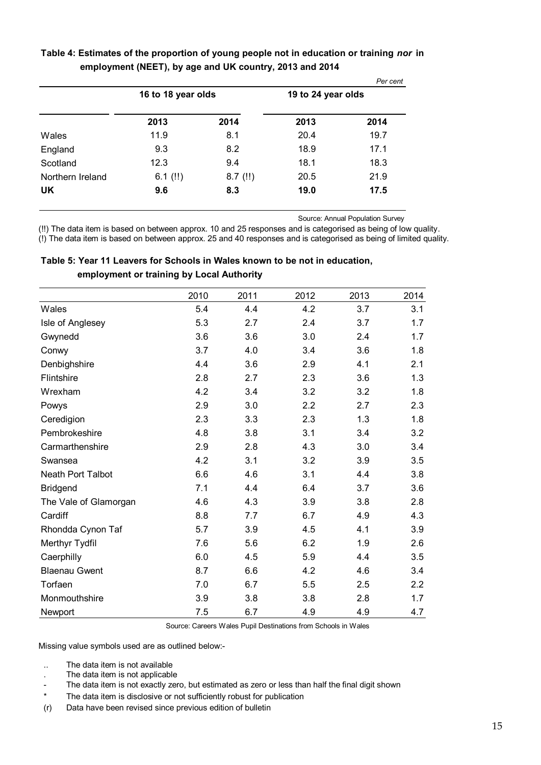|                  |                    |            |                    | Per cent |
|------------------|--------------------|------------|--------------------|----------|
|                  | 16 to 18 year olds |            | 19 to 24 year olds |          |
|                  | 2013               | 2014       | 2013               | 2014     |
| Wales            | 11.9               | 8.1        | 20.4               | 19.7     |
| England          | 9.3                | 8.2        | 18.9               | 17.1     |
| Scotland         | 12.3               | 9.4        | 18.1               | 18.3     |
| Northern Ireland | 6.1 $(!!)$         | $8.7$ (!!) | 20.5               | 21.9     |
| UK               | 9.6                | 8.3        | 19.0               | 17.5     |
|                  |                    |            |                    |          |

#### **Table 4: Estimates of the proportion of young people not in education or training** *nor* **in employment (NEET), by age and UK country, 2013 and 2014**

Source: Annual Population Survey

(!!) The data item is based on between approx. 10 and 25 responses and is categorised as being of low quality. (!) The data item is based on between approx. 25 and 40 responses and is categorised as being of limited quality.

|                       | 2010 | 2011 | 2012 | 2013 | 2014 |
|-----------------------|------|------|------|------|------|
| Wales                 | 5.4  | 4.4  | 4.2  | 3.7  | 3.1  |
| Isle of Anglesey      | 5.3  | 2.7  | 2.4  | 3.7  | 1.7  |
| Gwynedd               | 3.6  | 3.6  | 3.0  | 2.4  | 1.7  |
| Conwy                 | 3.7  | 4.0  | 3.4  | 3.6  | 1.8  |
| Denbighshire          | 4.4  | 3.6  | 2.9  | 4.1  | 2.1  |
| Flintshire            | 2.8  | 2.7  | 2.3  | 3.6  | 1.3  |
| Wrexham               | 4.2  | 3.4  | 3.2  | 3.2  | 1.8  |
| Powys                 | 2.9  | 3.0  | 2.2  | 2.7  | 2.3  |
| Ceredigion            | 2.3  | 3.3  | 2.3  | 1.3  | 1.8  |
| Pembrokeshire         | 4.8  | 3.8  | 3.1  | 3.4  | 3.2  |
| Carmarthenshire       | 2.9  | 2.8  | 4.3  | 3.0  | 3.4  |
| Swansea               | 4.2  | 3.1  | 3.2  | 3.9  | 3.5  |
| Neath Port Talbot     | 6.6  | 4.6  | 3.1  | 4.4  | 3.8  |
| <b>Bridgend</b>       | 7.1  | 4.4  | 6.4  | 3.7  | 3.6  |
| The Vale of Glamorgan | 4.6  | 4.3  | 3.9  | 3.8  | 2.8  |
| Cardiff               | 8.8  | 7.7  | 6.7  | 4.9  | 4.3  |
| Rhondda Cynon Taf     | 5.7  | 3.9  | 4.5  | 4.1  | 3.9  |
| Merthyr Tydfil        | 7.6  | 5.6  | 6.2  | 1.9  | 2.6  |
| Caerphilly            | 6.0  | 4.5  | 5.9  | 4.4  | 3.5  |
| <b>Blaenau Gwent</b>  | 8.7  | 6.6  | 4.2  | 4.6  | 3.4  |
| Torfaen               | 7.0  | 6.7  | 5.5  | 2.5  | 2.2  |
| Monmouthshire         | 3.9  | 3.8  | 3.8  | 2.8  | 1.7  |
| Newport               | 7.5  | 6.7  | 4.9  | 4.9  | 4.7  |

| Table 5: Year 11 Leavers for Schools in Wales known to be not in education, |
|-----------------------------------------------------------------------------|
| employment or training by Local Authority                                   |

Source: Careers Wales Pupil Destinations from Schools in Wales

Missing value symbols used are as outlined below:-

- .. The data item is not available
- . The data item is not applicable
- The data item is not exactly zero, but estimated as zero or less than half the final digit shown
- \* The data item is disclosive or not sufficiently robust for publication
- (r) Data have been revised since previous edition of bulletin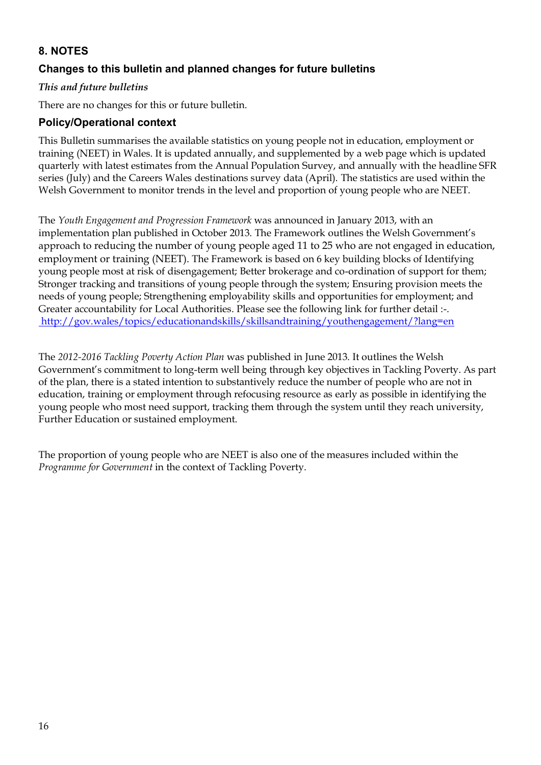# **8. NOTES**

#### **Changes to this bulletin and planned changes for future bulletins**

#### *This and future bulletins*

There are no changes for this or future bulletin.

#### **Policy/Operational context**

This Bulletin summarises the available statistics on young people not in education, employment or training (NEET) in Wales. It is updated annually, and supplemented by a web page which is updated quarterly with latest estimates from the Annual Population Survey, and annually with the headline SFR series (July) and the Careers Wales destinations survey data (April). The statistics are used within the Welsh Government to monitor trends in the level and proportion of young people who are NEET.

The *Youth Engagement and Progression Framework* was announced in January 2013, with an implementation plan published in October 2013. The Framework outlines the Welsh Government's approach to reducing the number of young people aged 11 to 25 who are not engaged in education, employment or training (NEET). The Framework is based on 6 key building blocks of Identifying young people most at risk of disengagement; Better brokerage and co-ordination of support for them; Stronger tracking and transitions of young people through the system; Ensuring provision meets the needs of young people; Strengthening employability skills and opportunities for employment; and Greater accountability for Local Authorities. Please see the following link for further detail :-. <http://gov.wales/topics/educationandskills/skillsandtraining/youthengagement/?lang=en>

The *2012-2016 Tackling Poverty Action Plan* was published in June 2013. It outlines the Welsh Government's commitment to long-term well being through key objectives in Tackling Poverty. As part of the plan, there is a stated intention to substantively reduce the number of people who are not in education, training or employment through refocusing resource as early as possible in identifying the young people who most need support, tracking them through the system until they reach university, Further Education or sustained employment.

The proportion of young people who are NEET is also one of the measures included within the *Programme for Government* in the context of Tackling Poverty.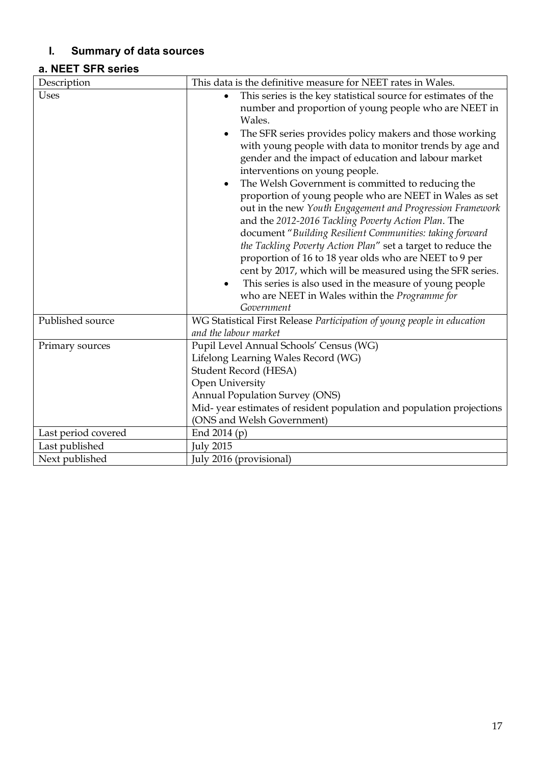# **I. Summary of data sources**

# **a. NEET SFR series**

| Description         | This data is the definitive measure for NEET rates in Wales.                                                                                                                                                                                                                                                                                                                                                                                                                                                                                                                                                                                                                                                                                                                                                                                                              |
|---------------------|---------------------------------------------------------------------------------------------------------------------------------------------------------------------------------------------------------------------------------------------------------------------------------------------------------------------------------------------------------------------------------------------------------------------------------------------------------------------------------------------------------------------------------------------------------------------------------------------------------------------------------------------------------------------------------------------------------------------------------------------------------------------------------------------------------------------------------------------------------------------------|
| <b>Uses</b>         | This series is the key statistical source for estimates of the<br>$\bullet$<br>number and proportion of young people who are NEET in                                                                                                                                                                                                                                                                                                                                                                                                                                                                                                                                                                                                                                                                                                                                      |
|                     | Wales.<br>The SFR series provides policy makers and those working<br>٠<br>with young people with data to monitor trends by age and<br>gender and the impact of education and labour market<br>interventions on young people.<br>The Welsh Government is committed to reducing the<br>$\bullet$<br>proportion of young people who are NEET in Wales as set<br>out in the new Youth Engagement and Progression Framework<br>and the 2012-2016 Tackling Poverty Action Plan. The<br>document "Building Resilient Communities: taking forward<br>the Tackling Poverty Action Plan" set a target to reduce the<br>proportion of 16 to 18 year olds who are NEET to 9 per<br>cent by 2017, which will be measured using the SFR series.<br>This series is also used in the measure of young people<br>$\bullet$<br>who are NEET in Wales within the Programme for<br>Government |
| Published source    | WG Statistical First Release Participation of young people in education<br>and the labour market                                                                                                                                                                                                                                                                                                                                                                                                                                                                                                                                                                                                                                                                                                                                                                          |
| Primary sources     | Pupil Level Annual Schools' Census (WG)<br>Lifelong Learning Wales Record (WG)<br>Student Record (HESA)<br>Open University<br><b>Annual Population Survey (ONS)</b><br>Mid-year estimates of resident population and population projections<br>(ONS and Welsh Government)                                                                                                                                                                                                                                                                                                                                                                                                                                                                                                                                                                                                 |
| Last period covered | End $2014(p)$                                                                                                                                                                                                                                                                                                                                                                                                                                                                                                                                                                                                                                                                                                                                                                                                                                                             |
| Last published      | <b>July 2015</b>                                                                                                                                                                                                                                                                                                                                                                                                                                                                                                                                                                                                                                                                                                                                                                                                                                                          |
| Next published      | July 2016 (provisional)                                                                                                                                                                                                                                                                                                                                                                                                                                                                                                                                                                                                                                                                                                                                                                                                                                                   |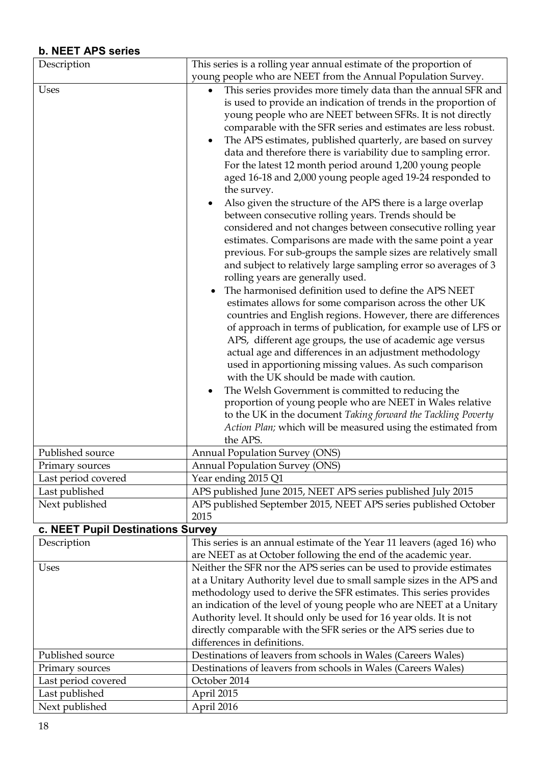# **b. NEET APS series**

| Description                       | This series is a rolling year annual estimate of the proportion of                                                                                                                                                                                                                                                                                                                                                                                                                                                                                                                                                                                                                                                                                                                                                                                                                                                                                                                                                                                                                                                                                                                                                                                                                                                                                                                                                                                                                                                                                                                                                                                                                                                                                     |
|-----------------------------------|--------------------------------------------------------------------------------------------------------------------------------------------------------------------------------------------------------------------------------------------------------------------------------------------------------------------------------------------------------------------------------------------------------------------------------------------------------------------------------------------------------------------------------------------------------------------------------------------------------------------------------------------------------------------------------------------------------------------------------------------------------------------------------------------------------------------------------------------------------------------------------------------------------------------------------------------------------------------------------------------------------------------------------------------------------------------------------------------------------------------------------------------------------------------------------------------------------------------------------------------------------------------------------------------------------------------------------------------------------------------------------------------------------------------------------------------------------------------------------------------------------------------------------------------------------------------------------------------------------------------------------------------------------------------------------------------------------------------------------------------------------|
|                                   | young people who are NEET from the Annual Population Survey.                                                                                                                                                                                                                                                                                                                                                                                                                                                                                                                                                                                                                                                                                                                                                                                                                                                                                                                                                                                                                                                                                                                                                                                                                                                                                                                                                                                                                                                                                                                                                                                                                                                                                           |
| Uses                              | This series provides more timely data than the annual SFR and<br>$\bullet$<br>is used to provide an indication of trends in the proportion of<br>young people who are NEET between SFRs. It is not directly<br>comparable with the SFR series and estimates are less robust.<br>The APS estimates, published quarterly, are based on survey<br>$\bullet$<br>data and therefore there is variability due to sampling error.<br>For the latest 12 month period around 1,200 young people<br>aged 16-18 and 2,000 young people aged 19-24 responded to<br>the survey.<br>Also given the structure of the APS there is a large overlap<br>between consecutive rolling years. Trends should be<br>considered and not changes between consecutive rolling year<br>estimates. Comparisons are made with the same point a year<br>previous. For sub-groups the sample sizes are relatively small<br>and subject to relatively large sampling error so averages of 3<br>rolling years are generally used.<br>The harmonised definition used to define the APS NEET<br>estimates allows for some comparison across the other UK<br>countries and English regions. However, there are differences<br>of approach in terms of publication, for example use of LFS or<br>APS, different age groups, the use of academic age versus<br>actual age and differences in an adjustment methodology<br>used in apportioning missing values. As such comparison<br>with the UK should be made with caution.<br>The Welsh Government is committed to reducing the<br>proportion of young people who are NEET in Wales relative<br>to the UK in the document Taking forward the Tackling Poverty<br>Action Plan; which will be measured using the estimated from<br>the APS. |
| Published source                  | <b>Annual Population Survey (ONS)</b>                                                                                                                                                                                                                                                                                                                                                                                                                                                                                                                                                                                                                                                                                                                                                                                                                                                                                                                                                                                                                                                                                                                                                                                                                                                                                                                                                                                                                                                                                                                                                                                                                                                                                                                  |
| Primary sources                   | <b>Annual Population Survey (ONS)</b>                                                                                                                                                                                                                                                                                                                                                                                                                                                                                                                                                                                                                                                                                                                                                                                                                                                                                                                                                                                                                                                                                                                                                                                                                                                                                                                                                                                                                                                                                                                                                                                                                                                                                                                  |
| Last period covered               | Year ending 2015 Q1                                                                                                                                                                                                                                                                                                                                                                                                                                                                                                                                                                                                                                                                                                                                                                                                                                                                                                                                                                                                                                                                                                                                                                                                                                                                                                                                                                                                                                                                                                                                                                                                                                                                                                                                    |
| Last published                    | APS published June 2015, NEET APS series published July 2015                                                                                                                                                                                                                                                                                                                                                                                                                                                                                                                                                                                                                                                                                                                                                                                                                                                                                                                                                                                                                                                                                                                                                                                                                                                                                                                                                                                                                                                                                                                                                                                                                                                                                           |
| Next published                    | APS published September 2015, NEET APS series published October<br>2015                                                                                                                                                                                                                                                                                                                                                                                                                                                                                                                                                                                                                                                                                                                                                                                                                                                                                                                                                                                                                                                                                                                                                                                                                                                                                                                                                                                                                                                                                                                                                                                                                                                                                |
| c. NEET Pupil Destinations Survey |                                                                                                                                                                                                                                                                                                                                                                                                                                                                                                                                                                                                                                                                                                                                                                                                                                                                                                                                                                                                                                                                                                                                                                                                                                                                                                                                                                                                                                                                                                                                                                                                                                                                                                                                                        |
| Description                       | This series is an annual estimate of the Year 11 leavers (aged 16) who                                                                                                                                                                                                                                                                                                                                                                                                                                                                                                                                                                                                                                                                                                                                                                                                                                                                                                                                                                                                                                                                                                                                                                                                                                                                                                                                                                                                                                                                                                                                                                                                                                                                                 |
|                                   | are NEET as at October following the end of the academic year.                                                                                                                                                                                                                                                                                                                                                                                                                                                                                                                                                                                                                                                                                                                                                                                                                                                                                                                                                                                                                                                                                                                                                                                                                                                                                                                                                                                                                                                                                                                                                                                                                                                                                         |
| Uses                              | Neither the SFR nor the APS series can be used to provide estimates<br>at a Unitary Authority level due to small sample sizes in the APS and<br>methodology used to derive the SFR estimates. This series provides<br>an indication of the level of young people who are NEET at a Unitary<br>Authority level. It should only be used for 16 year olds. It is not<br>directly comparable with the SFR series or the APS series due to<br>differences in definitions.                                                                                                                                                                                                                                                                                                                                                                                                                                                                                                                                                                                                                                                                                                                                                                                                                                                                                                                                                                                                                                                                                                                                                                                                                                                                                   |
| Published source                  | Destinations of leavers from schools in Wales (Careers Wales)                                                                                                                                                                                                                                                                                                                                                                                                                                                                                                                                                                                                                                                                                                                                                                                                                                                                                                                                                                                                                                                                                                                                                                                                                                                                                                                                                                                                                                                                                                                                                                                                                                                                                          |
| Primary sources                   | Destinations of leavers from schools in Wales (Careers Wales)                                                                                                                                                                                                                                                                                                                                                                                                                                                                                                                                                                                                                                                                                                                                                                                                                                                                                                                                                                                                                                                                                                                                                                                                                                                                                                                                                                                                                                                                                                                                                                                                                                                                                          |
| Last period covered               | October 2014                                                                                                                                                                                                                                                                                                                                                                                                                                                                                                                                                                                                                                                                                                                                                                                                                                                                                                                                                                                                                                                                                                                                                                                                                                                                                                                                                                                                                                                                                                                                                                                                                                                                                                                                           |
| Last published                    | April 2015                                                                                                                                                                                                                                                                                                                                                                                                                                                                                                                                                                                                                                                                                                                                                                                                                                                                                                                                                                                                                                                                                                                                                                                                                                                                                                                                                                                                                                                                                                                                                                                                                                                                                                                                             |
| Next published                    | April 2016                                                                                                                                                                                                                                                                                                                                                                                                                                                                                                                                                                                                                                                                                                                                                                                                                                                                                                                                                                                                                                                                                                                                                                                                                                                                                                                                                                                                                                                                                                                                                                                                                                                                                                                                             |
|                                   |                                                                                                                                                                                                                                                                                                                                                                                                                                                                                                                                                                                                                                                                                                                                                                                                                                                                                                                                                                                                                                                                                                                                                                                                                                                                                                                                                                                                                                                                                                                                                                                                                                                                                                                                                        |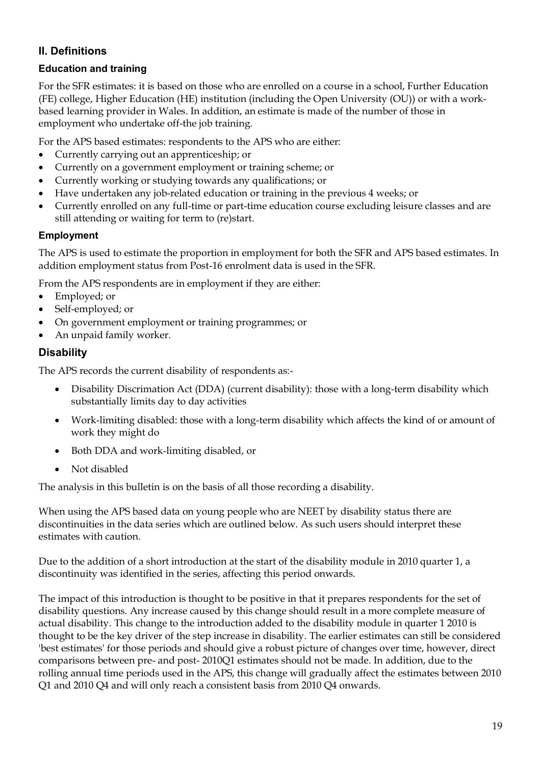# **II. Definitions**

# **Education and training**

For the SFR estimates: it is based on those who are enrolled on a course in a school, Further Education (FE) college, Higher Education (HE) institution (including the Open University (OU)) or with a workbased learning provider in Wales. In addition, an estimate is made of the number of those in employment who undertake off-the job training.

For the APS based estimates: respondents to the APS who are either:

- Currently carrying out an apprenticeship; or
- Currently on a government employment or training scheme; or
- Currently working or studying towards any qualifications; or
- Have undertaken any job-related education or training in the previous 4 weeks; or
- Currently enrolled on any full-time or part-time education course excluding leisure classes and are still attending or waiting for term to (re)start.

#### **Employment**

The APS is used to estimate the proportion in employment for both the SFR and APS based estimates. In addition employment status from Post-16 enrolment data is used in the SFR.

From the APS respondents are in employment if they are either:

- Employed; or
- Self-employed; or
- On government employment or training programmes; or
- An unpaid family worker.

#### **Disability**

The APS records the current disability of respondents as:-

- Disability Discrimation Act (DDA) (current disability): those with a long-term disability which substantially limits day to day activities
- Work-limiting disabled: those with a long-term disability which affects the kind of or amount of work they might do
- Both DDA and work-limiting disabled, or
- Not disabled

The analysis in this bulletin is on the basis of all those recording a disability.

When using the APS based data on young people who are NEET by disability status there are discontinuities in the data series which are outlined below. As such users should interpret these estimates with caution.

Due to the addition of a short introduction at the start of the disability module in 2010 quarter 1, a discontinuity was identified in the series, affecting this period onwards.

The impact of this introduction is thought to be positive in that it prepares respondents for the set of disability questions. Any increase caused by this change should result in a more complete measure of actual disability. This change to the introduction added to the disability module in quarter 1 2010 is thought to be the key driver of the step increase in disability. The earlier estimates can still be considered 'best estimates' for those periods and should give a robust picture of changes over time, however, direct comparisons between pre- and post- 2010Q1 estimates should not be made. In addition, due to the rolling annual time periods used in the APS, this change will gradually affect the estimates between 2010 Q1 and 2010 Q4 and will only reach a consistent basis from 2010 Q4 onwards.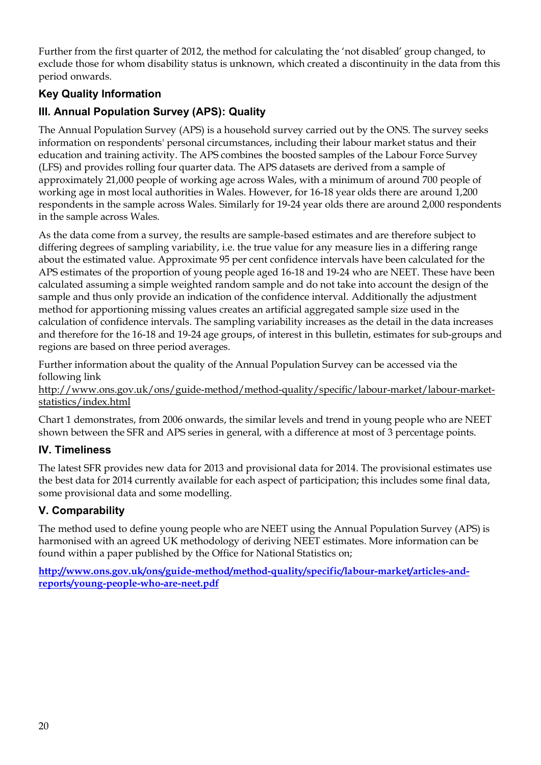Further from the first quarter of 2012, the method for calculating the 'not disabled' group changed, to exclude those for whom disability status is unknown, which created a discontinuity in the data from this period onwards.

# **Key Quality Information**

# **III. Annual Population Survey (APS): Quality**

The Annual Population Survey (APS) is a household survey carried out by the ONS. The survey seeks information on respondents' personal circumstances, including their labour market status and their education and training activity. The APS combines the boosted samples of the Labour Force Survey (LFS) and provides rolling four quarter data. The APS datasets are derived from a sample of approximately 21,000 people of working age across Wales, with a minimum of around 700 people of working age in most local authorities in Wales. However, for 16-18 year olds there are around 1,200 respondents in the sample across Wales. Similarly for 19-24 year olds there are around 2,000 respondents in the sample across Wales.

As the data come from a survey, the results are sample-based estimates and are therefore subject to differing degrees of sampling variability, i.e. the true value for any measure lies in a differing range about the estimated value. Approximate 95 per cent confidence intervals have been calculated for the APS estimates of the proportion of young people aged 16-18 and 19-24 who are NEET. These have been calculated assuming a simple weighted random sample and do not take into account the design of the sample and thus only provide an indication of the confidence interval. Additionally the adjustment method for apportioning missing values creates an artificial aggregated sample size used in the calculation of confidence intervals. The sampling variability increases as the detail in the data increases and therefore for the 16-18 and 19-24 age groups, of interest in this bulletin, estimates for sub-groups and regions are based on three period averages.

Further information about the quality of the Annual Population Survey can be accessed via the following link

http://www.ons.gov.uk/ons/guide-method/method-quality/specific/labour-market/labour-marketstatistics/index.html

Chart 1 demonstrates, from 2006 onwards, the similar levels and trend in young people who are NEET shown between the SFR and APS series in general, with a difference at most of 3 percentage points.

# **IV. Timeliness**

The latest SFR provides new data for 2013 and provisional data for 2014. The provisional estimates use the best data for 2014 currently available for each aspect of participation; this includes some final data, some provisional data and some modelling.

# **V. Comparability**

The method used to define young people who are NEET using the Annual Population Survey (APS) is harmonised with an agreed UK methodology of deriving NEET estimates. More information can be found within a paper published by the Office for National Statistics on;

**[http://www.ons.gov.uk/ons/guide-method/method-quality/specific/labour-market/articles-and](http://www.ons.gov.uk/ons/guide-method/method-quality/specific/labour-market/articles-and-reports/young-people-who-are-neet.pdf)[reports/young-people-who-are-neet.pdf](http://www.ons.gov.uk/ons/guide-method/method-quality/specific/labour-market/articles-and-reports/young-people-who-are-neet.pdf)**